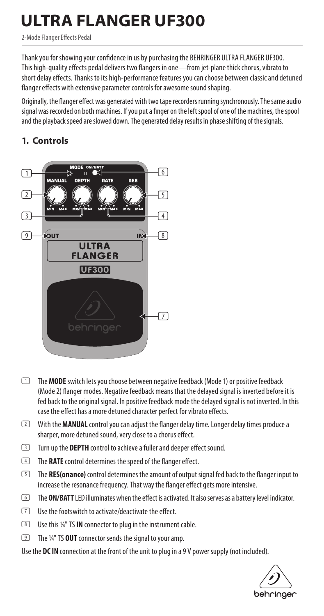# **ULTRA FLANGER UF300**

2-Mode Flanger Effects Pedal

Thank you for showing your confidence in us by purchasing the BEHRINGER ULTRA FLANGER UF300. This high-quality effects pedal delivers two flangers in one—from jet-plane thick chorus, vibrato to short delay effects. Thanks to its high-performance features you can choose between classic and detuned flanger effects with extensive parameter controls for awesome sound shaping.

Originally, the flanger effect was generated with two tape recorders running synchronously. The same audio signal was recorded on both machines. If you put a finger on the left spool of one of the machines, the spool and the playback speed are slowed down. The generated delay results in phase shifting of the signals.

## **1. Controls**



- (1) The **MODE** switch lets you choose between negative feedback (Mode 1) or positive feedback (Mode 2) flanger modes. Negative feedback means that the delayed signal is inverted before it is fed back to the original signal. In positive feedback mode the delayed signal is not inverted. In this case the effect has a more detuned character perfect for vibrato effects.
- (2) With the **MANUAL** control you can adjust the flanger delay time. Longer delay times produce a sharper, more detuned sound, very close to a chorus effect.
- (3) Turn up the **DEPTH** control to achieve a fuller and deeper effect sound.
- (4) The **RATE** control determines the speed of the flanger effect.
- (5) The **RES(onance)** control determines the amount of output signal fed back to the flanger input to increase the resonance frequency. That way the flanger effect gets more intensive.
- (6) The **ON/BATT** LED illuminates when the effect is activated. It also serves as a battery level indicator.
- (7) Use the footswitch to activate/deactivate the effect.
- (8) Use this ¼" TS **IN** connector to plug in the instrument cable.
- (9) The ¼" TS **OUT** connector sends the signal to your amp.

Use the **DC IN** connection at the front of the unit to plug in a 9 V power supply (not included).

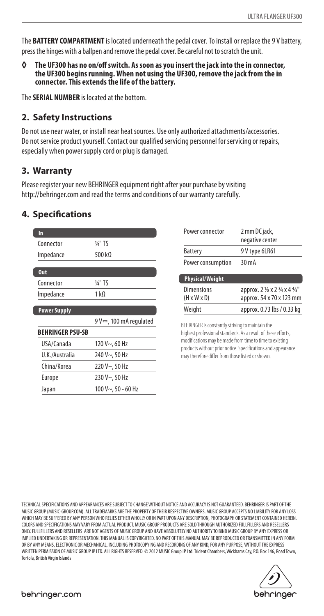The **BATTERY COMPARTMENT** is located underneath the pedal cover. To install or replace the 9 V battery, press the hinges with a ballpen and remove the pedal cover. Be careful not to scratch the unit.

**◊ The UF300 has no on/off switch. As soon as you insert the jack into the in connector, the UF300 begins running. When not using the UF300, remove the jack from the in connector. This extends the life of the battery.**

The **SERIAL NUMBER** is located at the bottom.

#### **2. Safety Instructions**

Do not use near water, or install near heat sources. Use only authorized attachments/accessories. Do not service product yourself. Contact our qualified servicing personnel for servicing or repairs, especially when power supply cord or plug is damaged.

#### **3. Warranty**

Please register your new BEHRINGER equipment right after your purchase by visiting http://behringer.com and read the terms and conditions of our warranty carefully.

#### **4. Specifications**

| In                      |                           |
|-------------------------|---------------------------|
| Connector               | $\frac{1}{4}$ " TS        |
| Impedance               | 500 kΩ                    |
| <b>Out</b>              |                           |
| Connector               | 1⁄4" TS                   |
| Impedance               | 1 k Ω                     |
| <b>Power Supply</b>     |                           |
|                         | 9 V= = , 100 mA regulated |
| <b>BEHRINGER PSU-SB</b> |                           |
| USA/Canada              | $120 V - 60 Hz$           |
| U.K./Australia          | 240 V~, 50 Hz             |
| China/Korea             | 220 V~, 50 Hz             |
| Europe                  | 230 V~, 50 Hz             |
| Japan                   | $100 V - 50 - 60 Hz$      |
|                         |                           |

| Power connector                              | 2 mm DC jack,<br>negative center                           |
|----------------------------------------------|------------------------------------------------------------|
| <b>Battery</b>                               | 9 V type 6LR61                                             |
| Power consumption                            | 30 mA                                                      |
| <b>Physical/Weight</b>                       |                                                            |
| <b>Dimensions</b><br>$(H \times W \times D)$ | approx. 2 1/8 x 2 3/4 x 4 4/5"<br>approx. 54 x 70 x 123 mm |
| Weight                                       | approx. 0.73 lbs / 0.33 kg                                 |

BEHRINGER is constantly striving to maintain the highest professional standards. As a result of these efforts, modifications may be made from time to time to existing products without prior notice. Specifications and appearance may therefore differ from those listed or shown.

TECHNICAL SPECIFICATIONS AND APPEARANCES ARE SUBJECT TO CHANGE WITHOUT NOTICE AND ACCURACY IS NOT GUARANTEED. BEHRINGER IS PART OF THE MUSIC GROUP (MUSIC-GROUP.COM). ALL TRADEMARKS ARE THE PROPERTY OF THEIR RESPECTIVE OWNERS. MUSIC GROUP ACCEPTS NO LIABILITY FOR ANY LOSS WHICH MAY BE SUFFERED BY ANY PERSON WHO RELIES EITHER WHOLLY OR IN PART UPON ANY DESCRIPTION. PHOTOGRAPH OR STATEMENT CONTAINED HEREIN. COLORS AND SPECIFICATIONS MAY VARY FROM ACTUAL PRODUCT. MUSIC GROUP PRODUCTS ARE SOLD THROUGH AUTHORIZED FULLFILLERS AND RESELLERS ONLY. FULLFILLERS AND RESELLERS ARE NOT AGENTS OF MUSIC GROUP AND HAVE ABSOLUTELY NO AUTHORITY TO BIND MUSIC GROUP BY ANY EXPRESS OR IMPLIED UNDERTAKING OR REPRESENTATION. THIS MANUAL IS COPYRIGHTED. NO PART OF THIS MANUAL MAY BE REPRODUCED OR TRANSMITTED IN ANY FORM OR BY ANY MEANS, ELECTRONIC OR MECHANICAL, INCLUDING PHOTOCOPYING AND RECORDING OF ANY KIND, FOR ANY PURPOSE, WITHOUT THE EXPRESS WRITTEN PERMISSION OF MUSIC GROUP IP LTD. ALL RIGHTS RESERVED. © 2012 MUSIC Group IP Ltd. Trident Chambers, Wickhams Cay, P.O. Box 146, Road Town, Tortola, British Virgin Islands